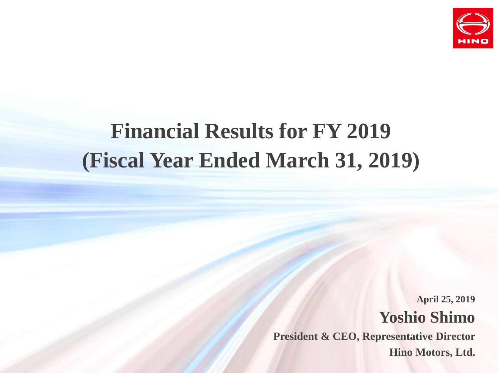

# **Financial Results for FY 2019 (Fiscal Year Ended March 31, 2019)**

**Yoshio Shimo President & CEO, Representative Director Hino Motors, Ltd. April 25, 2019**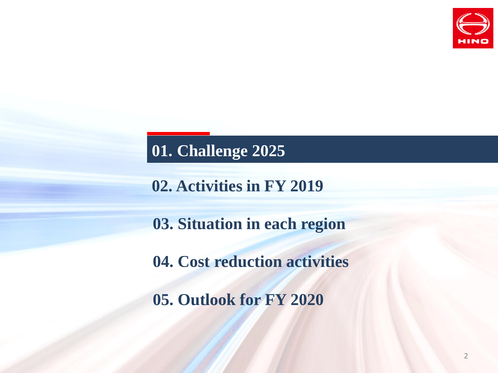

**02. Activities in FY 2019**

**03. Situation in each region**

**04. Cost reduction activities**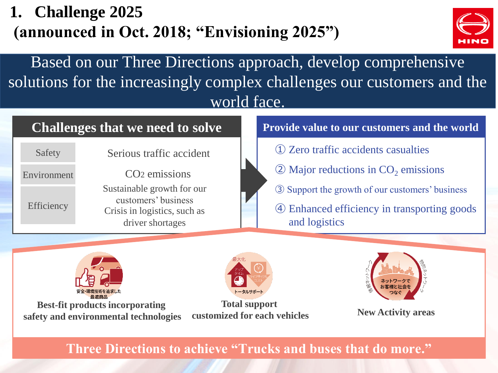# **1. Challenge 2025 (announced in Oct. 2018; "Envisioning 2025")**



Based on our Three Directions approach, develop comprehensive solutions for the increasingly complex challenges our customers and the world face.

#### **Challenges that we need to solve**

Serious traffic accident CO2 emissions Sustainable growth for our customers' business Crisis in logistics, such as driver shortages Safety Environment Efficiency

#### **Provide value to our customers and the world**

- ① Zero traffic accidents casualties
- $\textcircled{2}$  Major reductions in CO<sub>2</sub> emissions
- ③ Support the growth of our customers' business
- ④ Enhanced efficiency in transporting goods and logistics



**Best-fit products incorporating safety and environmental technologies**



**Total support customized for each vehicles New Activity areas**



**Three Directions to achieve "Trucks and buses that do more."**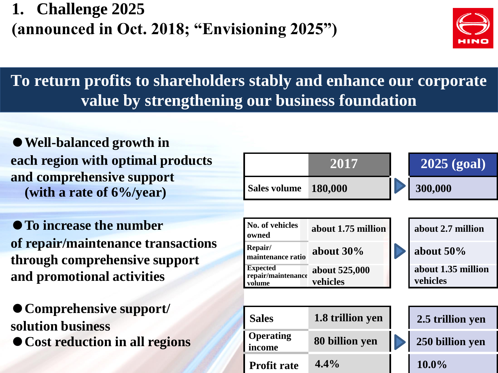**1. Challenge 2025 (announced in Oct. 2018; "Envisioning 2025")**



# **To return profits to shareholders stably and enhance our corporate value by strengthening our business foundation**

●**Well-balanced growth in each region with optimal products and comprehensive support (with a rate of 6%/year)**

●**To increase the number of repair/maintenance transactions through comprehensive support and promotional activities**

●**Comprehensive support/ solution business** ●**Cost reduction in all regions**

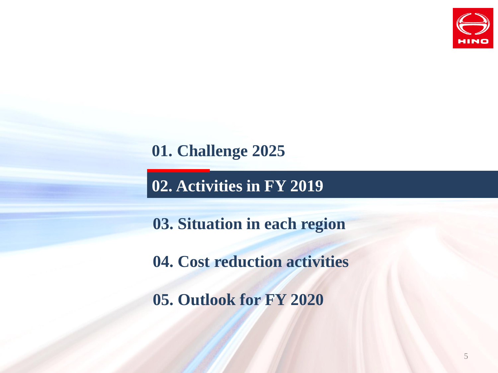

**02. Activities in FY 2019**

**03. Situation in each region**

**04. Cost reduction activities**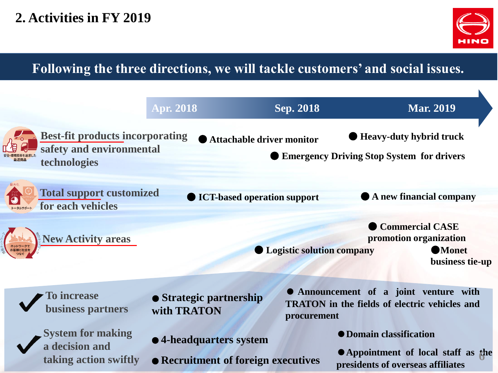

### **Following the three directions, we will tackle customers' and social issues.**

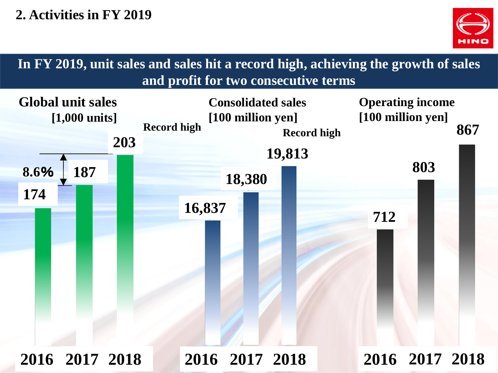

**Global unit sales [1,000 units] Consolidated sales [100 million yen] Operating income [100 million yen] 8.6**% **In FY 2019, unit sales and sales hit a record high, achieving the growth of sales and profit for two consecutive terms** 2016 2017 2018 **Record high Record high 2016 2017 2018 2016 2017 2018 2016 2017 2018 16,837 18,380 19,813 712 803 867 174 187 203**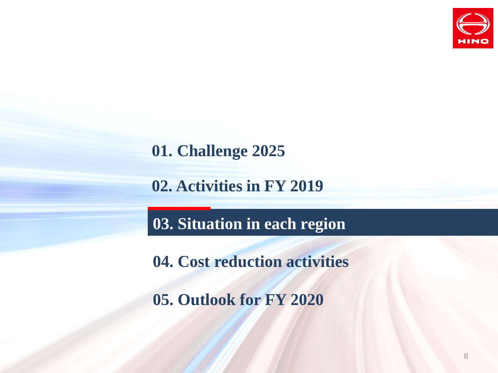

**02. Activities in FY 2019**

**03. Situation in each region**

**04. Cost reduction activities**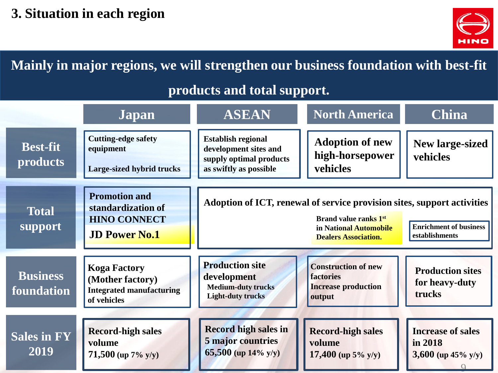

**Mainly in major regions, we will strengthen our business foundation with best-fit** 

#### **products and total support.**

|                                    | Japan                                                                                     | <b>ASEAN</b>                                                                                                                                                                                                        | <b>North America</b>                                                            | <b>China</b>                                                 |
|------------------------------------|-------------------------------------------------------------------------------------------|---------------------------------------------------------------------------------------------------------------------------------------------------------------------------------------------------------------------|---------------------------------------------------------------------------------|--------------------------------------------------------------|
| <b>Best-fit</b><br><b>products</b> | <b>Cutting-edge safety</b><br>equipment<br>Large-sized hybrid trucks                      | <b>Establish regional</b><br>development sites and<br>supply optimal products<br>as swiftly as possible                                                                                                             | <b>Adoption of new</b><br>high-horsepower<br>vehicles                           | <b>New large-sized</b><br>vehicles                           |
| <b>Total</b><br>support            | <b>Promotion and</b><br>standardization of<br><b>HINO CONNECT</b><br><b>JD Power No.1</b> | Adoption of ICT, renewal of service provision sites, support activities<br><b>Brand value ranks 1st</b><br><b>Enrichment of business</b><br>in National Automobile<br>establishments<br><b>Dealers Association.</b> |                                                                                 |                                                              |
| <b>Business</b><br>foundation      | <b>Koga Factory</b><br>(Mother factory)<br><b>Integrated manufacturing</b><br>of vehicles | <b>Production site</b><br>development<br><b>Medium-duty trucks</b><br><b>Light-duty trucks</b>                                                                                                                      | <b>Construction of new</b><br>factories<br><b>Increase production</b><br>output | <b>Production sites</b><br>for heavy-duty<br>trucks          |
| <b>Sales in FY</b><br>2019         | <b>Record-high sales</b><br>volume<br>71,500 (up $7\%$ y/y)                               | <b>Record high sales in</b><br>5 major countries<br>65,500 (up $14\%$ y/y)                                                                                                                                          | <b>Record-high sales</b><br>volume<br>17,400 (up $5\%$ y/y)                     | <b>Increase of sales</b><br>in 2018<br>3,600 (up $45\%$ y/y) |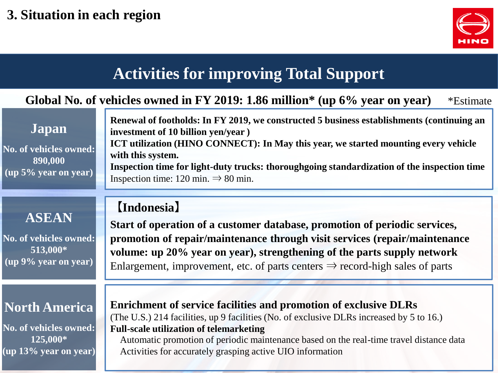

## **Activities for improving Total Support**

#### **Global No. of vehicles owned in FY 2019: 1.86 million\* (up 6% year on year)** \*Estimate

| Japan                                                                                   | Renewal of footholds: In FY 2019, we constructed 5 business establishments (continuing an<br>investment of 10 billion yen/year)                                                                                                                                   |  |  |
|-----------------------------------------------------------------------------------------|-------------------------------------------------------------------------------------------------------------------------------------------------------------------------------------------------------------------------------------------------------------------|--|--|
| No. of vehicles owned:<br>890,000<br>$\left(\text{up } 5\% \text{ year on year}\right)$ | <b>ICT utilization (HINO CONNECT): In May this year, we started mounting every vehicle</b><br>with this system.<br>Inspection time for light-duty trucks: thoroughgoing standardization of the inspection time<br>Inspection time: 120 min. $\Rightarrow$ 80 min. |  |  |

#### 【**Indonesia**】

**No. of vehicles owned: 513,000\* (up 9% year on year)**

**ASEAN**

#### **North America**

**No. of vehicles owned: 125,000\* (up 13% year on year)**

**Start of operation of a customer database, promotion of periodic services, promotion of repair/maintenance through visit services (repair/maintenance volume: up 20% year on year), strengthening of the parts supply network** Enlargement, improvement, etc. of parts centers  $\Rightarrow$  record-high sales of parts

**Enrichment of service facilities and promotion of exclusive DLRs** (The U.S.) 214 facilities, up 9 facilities (No. of exclusive DLRs increased by 5 to 16.) **Full-scale utilization of telemarketing**

Automatic promotion of periodic maintenance based on the real-time travel distance data Activities for accurately grasping active UIO information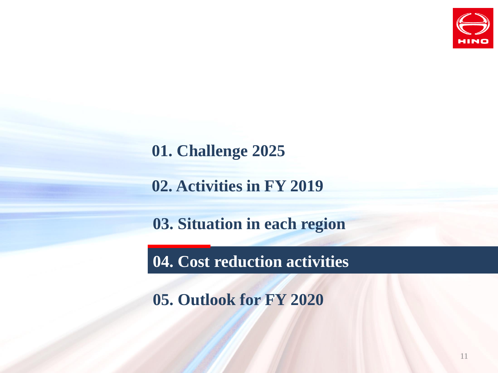

**02. Activities in FY 2019**

**03. Situation in each region**

**04. Cost reduction activities**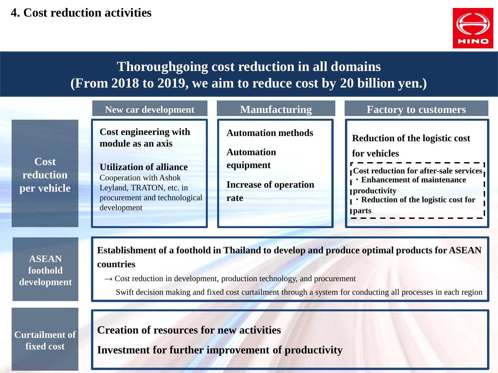#### **4. Cost reduction activities**



### **Thoroughgoing cost reduction in all domains (From 2018 to 2019, we aim to reduce cost by 20 billion yen.)**

|                                         | <b>New car development</b>                                                                                                                                                                                                                                                                                     | <b>Manufacturing</b>                                                                                | <b>Factory to customers</b>                                                                                                                                                                                          |  |  |
|-----------------------------------------|----------------------------------------------------------------------------------------------------------------------------------------------------------------------------------------------------------------------------------------------------------------------------------------------------------------|-----------------------------------------------------------------------------------------------------|----------------------------------------------------------------------------------------------------------------------------------------------------------------------------------------------------------------------|--|--|
| Cost<br>reduction<br>per vehicle        | Cost engineering with<br>module as an axis<br><b>Utilization of alliance</b><br><b>Cooperation with Ashok</b><br>Leyland, TRATON, etc. in<br>procurement and technological<br>development                                                                                                                      | <b>Automation methods</b><br><b>Automation</b><br>equipment<br><b>Increase of operation</b><br>rate | <b>Reduction of the logistic cost</b><br>for vehicles<br>Cost reduction for after-sale services.<br><b>· Enhancement of maintenance</b><br><b>productivity</b><br>Reduction of the logistic cost for<br><b>parts</b> |  |  |
| <b>ASEAN</b><br>foothold<br>development | Establishment of a foothold in Thailand to develop and produce optimal products for ASEAN<br>countries<br>$\rightarrow$ Cost reduction in development, production technology, and procurement<br>Swift decision making and fixed cost curtailment through a system for conducting all processes in each region |                                                                                                     |                                                                                                                                                                                                                      |  |  |
| <b>Curtailment of</b><br>fixed cost     | <b>Creation of resources for new activities</b>                                                                                                                                                                                                                                                                | <b>Investment for further improvement of productivity</b>                                           |                                                                                                                                                                                                                      |  |  |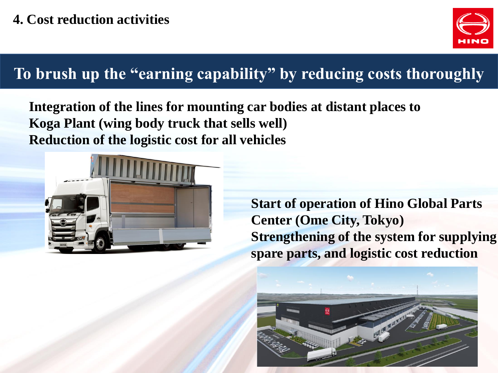

# **To brush up the "earning capability" by reducing costs thoroughly**

**Integration of the lines for mounting car bodies at distant places to Koga Plant (wing body truck that sells well) Reduction of the logistic cost for all vehicles**



**Start of operation of Hino Global Parts Center (Ome City, Tokyo) Strengthening of the system for supplying spare parts, and logistic cost reduction**

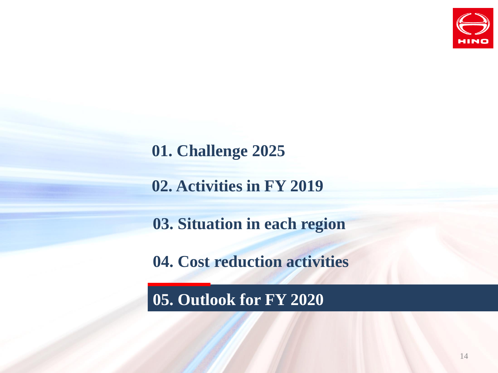

**02. Activities in FY 2019**

**03. Situation in each region**

**04. Cost reduction activities**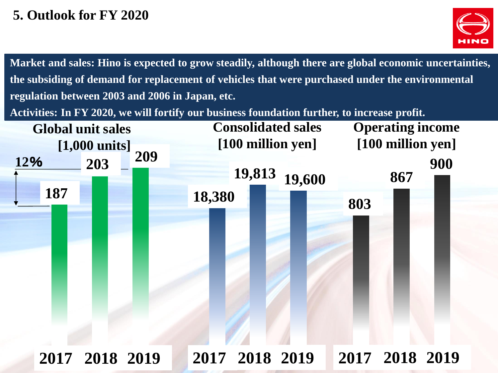### **5. Outlook for FY 2020**



**Market and sales: Hino is expected to grow steadily, although there are global economic uncertainties, the subsiding of demand for replacement of vehicles that were purchased under the environmental regulation between 2003 and 2006 in Japan, etc.**

**Activities: In FY 2020, we will fortify our business foundation further, to increase profit.**